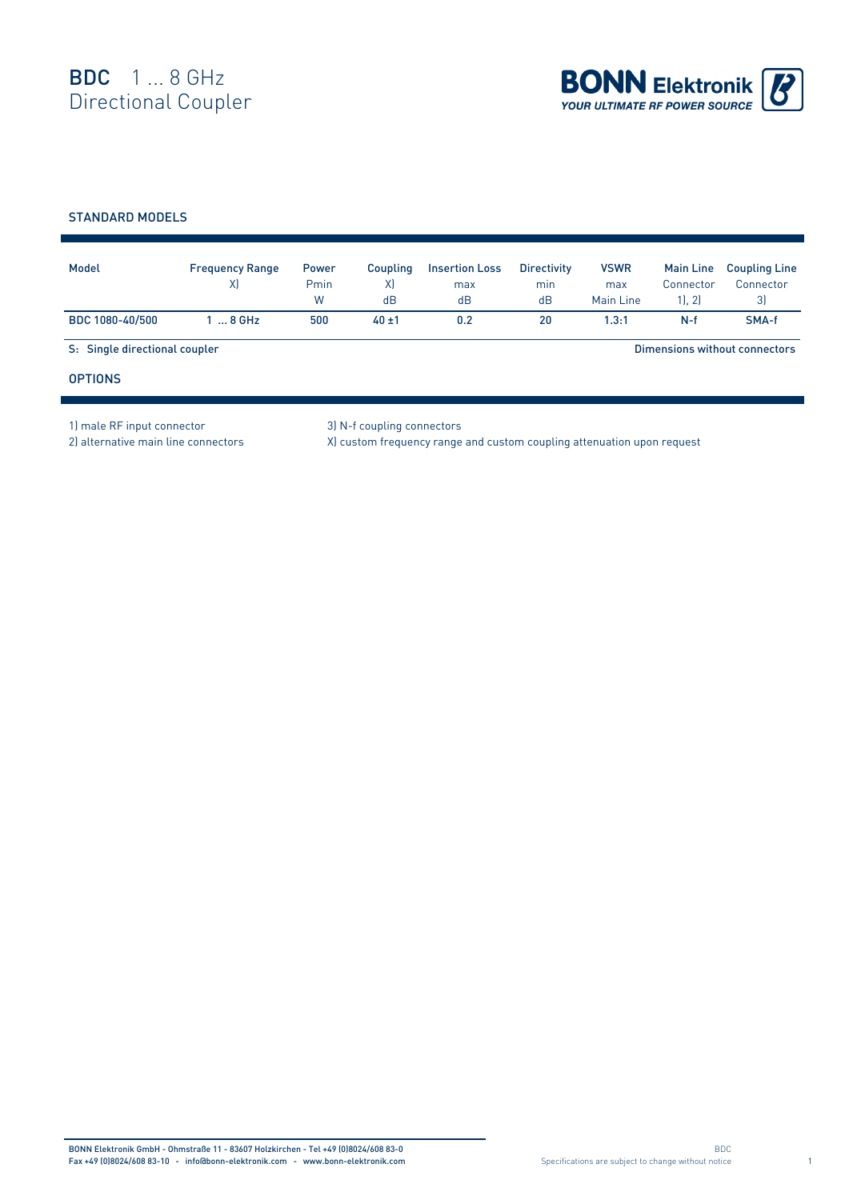

## STANDARD MODELS

| Model                         | <b>Frequency Range</b><br>X | <b>Power</b><br>Pmin<br>W | Coupling<br>X)<br>dB | <b>Insertion Loss</b><br>max<br>dB | <b>Directivity</b><br>min<br>dB | <b>VSWR</b><br>max<br>Main Line | <b>Main Line</b><br>Connector<br>1, 2 | <b>Coupling Line</b><br>Connector<br>3) |
|-------------------------------|-----------------------------|---------------------------|----------------------|------------------------------------|---------------------------------|---------------------------------|---------------------------------------|-----------------------------------------|
| BDC 1080-40/500               | $8$ GHz                     | 500                       | $40 + 1$             | 0.2                                | 20                              | 1.3:1                           | $N-f$                                 | SMA-f                                   |
| S: Single directional coupler |                             |                           |                      |                                    |                                 |                                 |                                       | Dimensions without connectors           |
| <b>OPTIONS</b>                |                             |                           |                      |                                    |                                 |                                 |                                       |                                         |

1) male RF input connector 3) N-f coupling connectors

2) alternative main line connectors X) custom frequency range and custom coupling attenuation upon request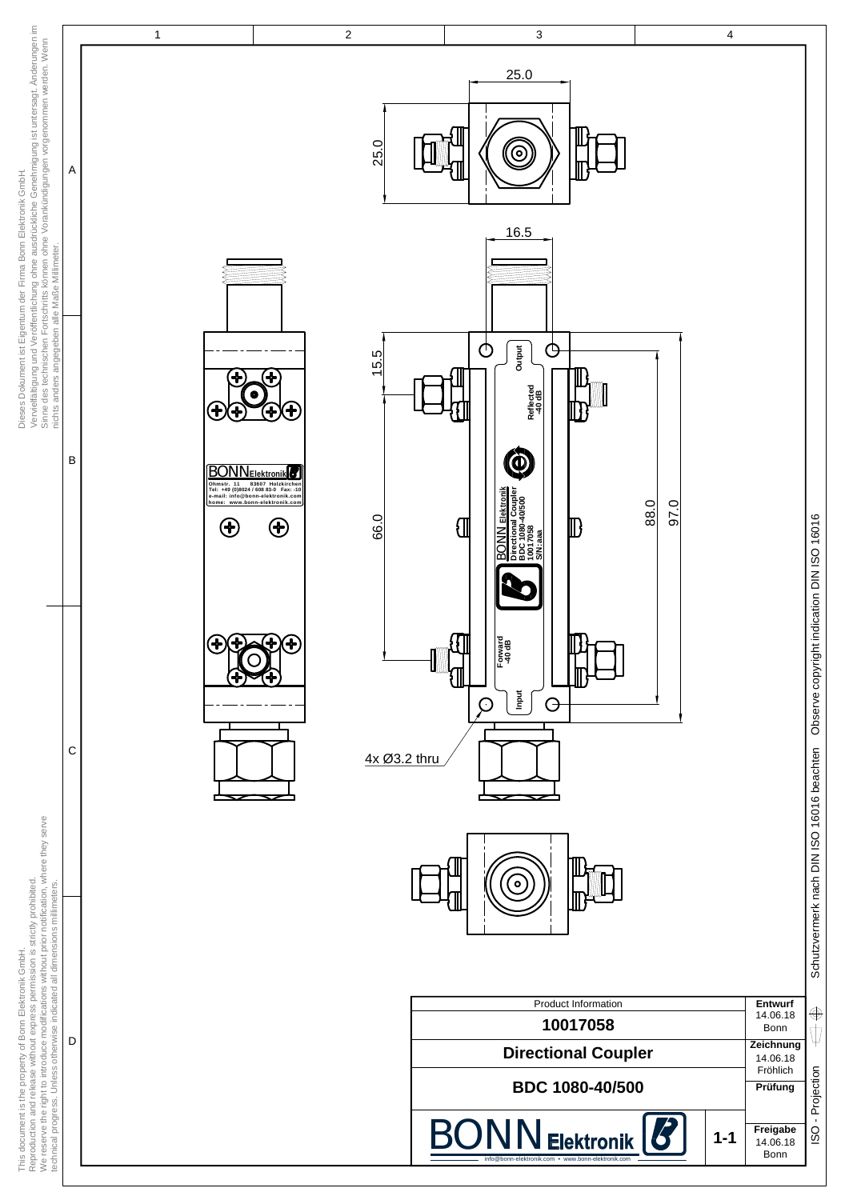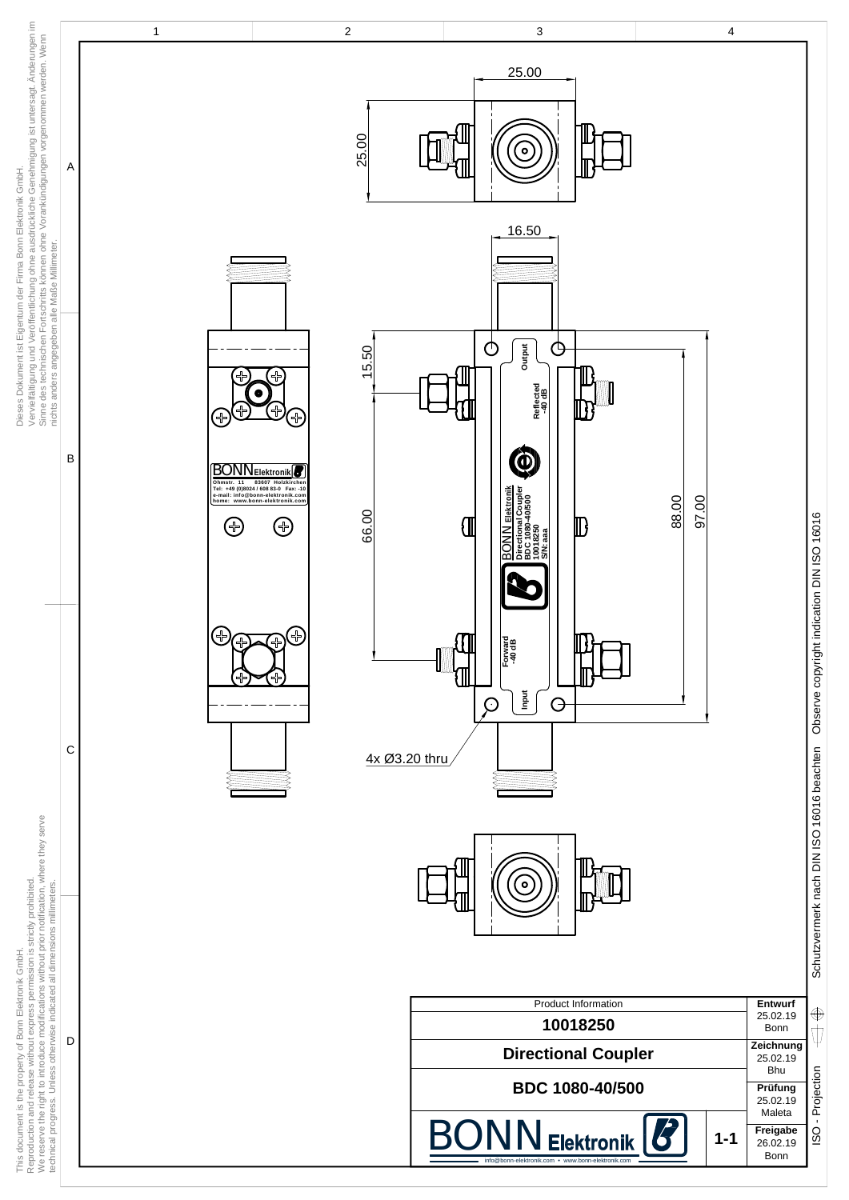